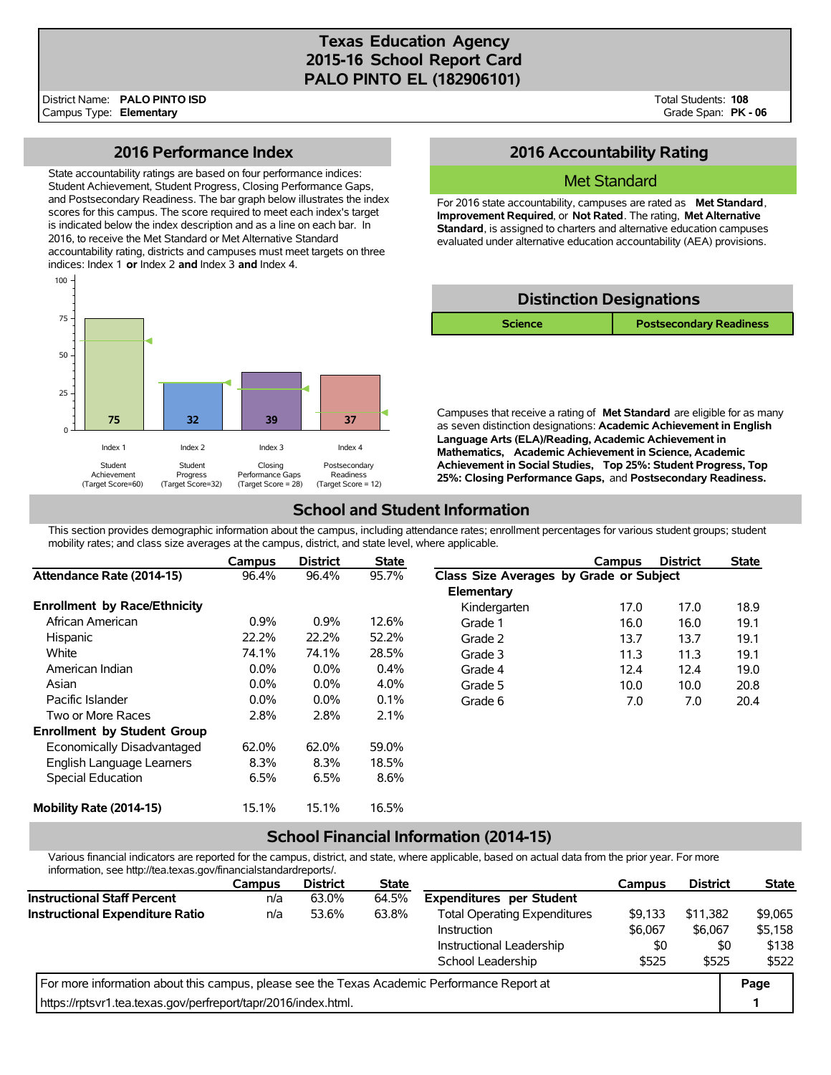# **Texas Education Agency 2015-16 School Report Card PALO PINTO EL (182906101)**

District Name: Campus Type: **Elementary PALO PINTO ISD** Total Students: **108** Grade Span: **PK - 06**

## **2016 Performance Index**

State accountability ratings are based on four performance indices: Student Achievement, Student Progress, Closing Performance Gaps, and Postsecondary Readiness. The bar graph below illustrates the index scores for this campus. The score required to meet each index's target is indicated below the index description and as a line on each bar. In 2016, to receive the Met Standard or Met Alternative Standard accountability rating, districts and campuses must meet targets on three indices: Index 1 **or** Index 2 **and** Index 3 **and** Index 4.



# **2016 Accountability Rating**

### Met Standard

For 2016 state accountability, campuses are rated as **Met Standard**, **Improvement Required**, or **Not Rated**. The rating, **Met Alternative Standard**, is assigned to charters and alternative education campuses evaluated under alternative education accountability (AEA) provisions.



Campuses that receive a rating of **Met Standard** are eligible for as many as seven distinction designations: **Academic Achievement in English Language Arts (ELA)/Reading, Academic Achievement in Mathematics, Academic Achievement in Science, Academic Achievement in Social Studies, Top 25%: Student Progress, Top 25%: Closing Performance Gaps,** and **Postsecondary Readiness.**

# **School and Student Information**

This section provides demographic information about the campus, including attendance rates; enrollment percentages for various student groups; student mobility rates; and class size averages at the campus, district, and state level, where applicable.

|                                     | Campus  | <b>District</b> | <b>State</b> |                                         | Campus | <b>District</b> | <b>State</b> |
|-------------------------------------|---------|-----------------|--------------|-----------------------------------------|--------|-----------------|--------------|
| Attendance Rate (2014-15)           | 96.4%   | 96.4%           | 95.7%        | Class Size Averages by Grade or Subject |        |                 |              |
|                                     |         |                 |              | Elementary                              |        |                 |              |
| <b>Enrollment by Race/Ethnicity</b> |         |                 |              | Kindergarten                            | 17.0   | 17.0            | 18.9         |
| African American                    | 0.9%    | 0.9%            | 12.6%        | Grade 1                                 | 16.0   | 16.0            | 19.1         |
| Hispanic                            | 22.2%   | 22.2%           | 52.2%        | Grade 2                                 | 13.7   | 13.7            | 19.1         |
| White                               | 74.1%   | 74.1%           | 28.5%        | Grade 3                                 | 11.3   | 11.3            | 19.1         |
| American Indian                     | $0.0\%$ | $0.0\%$         | 0.4%         | Grade 4                                 | 12.4   | 12.4            | 19.0         |
| Asian                               | $0.0\%$ | $0.0\%$         | 4.0%         | Grade 5                                 | 10.0   | 10.0            | 20.8         |
| Pacific Islander                    | $0.0\%$ | $0.0\%$         | 0.1%         | Grade 6                                 | 7.0    | 7.0             | 20.4         |
| Two or More Races                   | 2.8%    | 2.8%            | 2.1%         |                                         |        |                 |              |
| <b>Enrollment by Student Group</b>  |         |                 |              |                                         |        |                 |              |
| Economically Disadvantaged          | 62.0%   | 62.0%           | 59.0%        |                                         |        |                 |              |
| English Language Learners           | 8.3%    | 8.3%            | 18.5%        |                                         |        |                 |              |
| Special Education                   | 6.5%    | 6.5%            | 8.6%         |                                         |        |                 |              |
| Mobility Rate (2014-15)             | 15.1%   | 15.1%           | 16.5%        |                                         |        |                 |              |

## **School Financial Information (2014-15)**

Various financial indicators are reported for the campus, district, and state, where applicable, based on actual data from the prior year. For more information, see http://tea.texas.gov/financialstandardreports/.

|                                                                                             | <b>Campus</b> | <b>District</b> | <b>State</b> |                                     | <b>Campus</b> | <b>District</b> | <b>State</b> |
|---------------------------------------------------------------------------------------------|---------------|-----------------|--------------|-------------------------------------|---------------|-----------------|--------------|
| <b>Instructional Staff Percent</b>                                                          | n/a           | 63.0%           | 64.5%        | <b>Expenditures per Student</b>     |               |                 |              |
| Instructional Expenditure Ratio                                                             | n/a           | 53.6%           | 63.8%        | <b>Total Operating Expenditures</b> | \$9,133       | \$11.382        | \$9,065      |
|                                                                                             |               |                 |              | Instruction                         | \$6,067       | \$6,067         | \$5,158      |
|                                                                                             |               |                 |              | Instructional Leadership            | \$0           | \$0             | \$138        |
|                                                                                             |               |                 |              | School Leadership                   | \$525         | \$525           | \$522        |
| For more information about this campus, please see the Texas Academic Performance Report at |               |                 |              |                                     |               |                 | Page         |
| https://rptsvr1.tea.texas.gov/perfreport/tapr/2016/index.html.                              |               |                 |              |                                     |               |                 |              |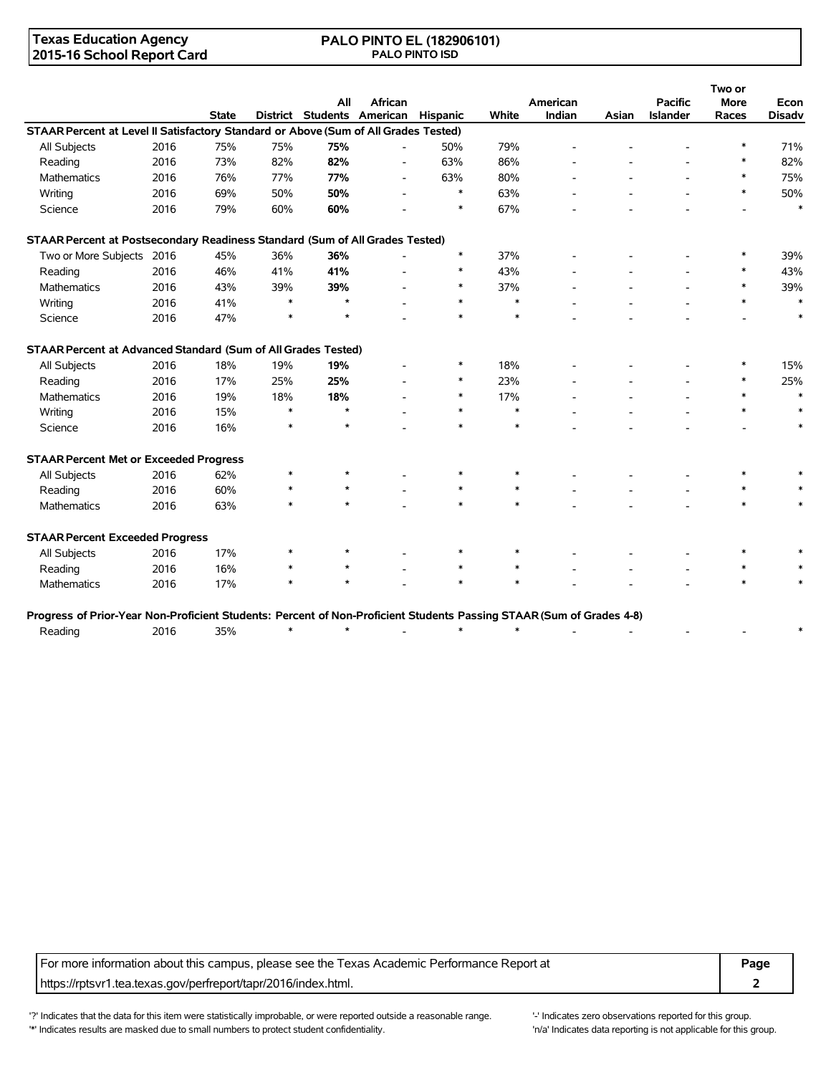### **Texas Education Agency 2015-16 School Report Card**

### **PALO PINTO EL (182906101) PALO PINTO ISD**

|                                                                                     |      |              |        | All     | African                             |        |        | American |       | <b>Pacific</b>  | Two or<br><b>More</b> |                       |
|-------------------------------------------------------------------------------------|------|--------------|--------|---------|-------------------------------------|--------|--------|----------|-------|-----------------|-----------------------|-----------------------|
|                                                                                     |      | <b>State</b> |        |         | District Students American Hispanic |        | White  | Indian   | Asian | <b>Islander</b> | Races                 | Econ<br><b>Disadv</b> |
| STAAR Percent at Level II Satisfactory Standard or Above (Sum of All Grades Tested) |      |              |        |         |                                     |        |        |          |       |                 |                       |                       |
| All Subjects                                                                        | 2016 | 75%          | 75%    | 75%     |                                     | 50%    | 79%    |          |       |                 | $\ast$                | 71%                   |
| Reading                                                                             | 2016 | 73%          | 82%    | 82%     |                                     | 63%    | 86%    |          |       |                 | $\ast$                | 82%                   |
| <b>Mathematics</b>                                                                  | 2016 | 76%          | 77%    | 77%     | $\overline{\phantom{a}}$            | 63%    | 80%    |          |       |                 | $\ast$                | 75%                   |
| Writing                                                                             | 2016 | 69%          | 50%    | 50%     |                                     | $\ast$ | 63%    |          |       |                 | $\ast$                | 50%                   |
| Science                                                                             | 2016 | 79%          | 60%    | 60%     |                                     | $\ast$ | 67%    |          |       |                 |                       | $\ast$                |
| STAAR Percent at Postsecondary Readiness Standard (Sum of All Grades Tested)        |      |              |        |         |                                     |        |        |          |       |                 |                       |                       |
| Two or More Subjects 2016                                                           |      | 45%          | 36%    | 36%     |                                     | $\ast$ | 37%    |          |       |                 | *                     | 39%                   |
| Reading                                                                             | 2016 | 46%          | 41%    | 41%     |                                     | $\ast$ | 43%    |          |       |                 | $\ast$                | 43%                   |
| Mathematics                                                                         | 2016 | 43%          | 39%    | 39%     |                                     | $\ast$ | 37%    |          |       |                 | $\ast$                | 39%                   |
| Writing                                                                             | 2016 | 41%          | $\ast$ | $\star$ |                                     | $\ast$ | $\ast$ |          |       |                 | $\ast$                | $\ast$                |
| Science                                                                             | 2016 | 47%          | $\ast$ | $\star$ |                                     | $\ast$ | $\ast$ |          |       |                 |                       | $\ast$                |
| STAAR Percent at Advanced Standard (Sum of All Grades Tested)                       |      |              |        |         |                                     |        |        |          |       |                 |                       |                       |
| All Subjects                                                                        | 2016 | 18%          | 19%    | 19%     |                                     |        | 18%    |          |       |                 |                       | 15%                   |
| Reading                                                                             | 2016 | 17%          | 25%    | 25%     |                                     | $\ast$ | 23%    |          |       |                 | $\ast$                | 25%                   |
| <b>Mathematics</b>                                                                  | 2016 | 19%          | 18%    | 18%     |                                     | $\ast$ | 17%    |          |       |                 | $\ast$                | $\ast$                |
| Writing                                                                             | 2016 | 15%          | $\ast$ | $\star$ |                                     | $\ast$ | $\ast$ |          |       |                 | $\ast$                | $\ast$                |
| Science                                                                             | 2016 | 16%          | $\ast$ | $\star$ |                                     | $\ast$ | $\ast$ |          |       |                 |                       | $\ast$                |
| <b>STAAR Percent Met or Exceeded Progress</b>                                       |      |              |        |         |                                     |        |        |          |       |                 |                       |                       |
| All Subjects                                                                        | 2016 | 62%          | $\ast$ | $\star$ |                                     |        | $\ast$ |          |       |                 | $\ast$                |                       |
| Reading                                                                             | 2016 | 60%          | $\ast$ | $\star$ |                                     | $\ast$ | $\ast$ |          |       |                 | $\ast$                |                       |
| Mathematics                                                                         | 2016 | 63%          | $\ast$ |         |                                     | $\ast$ | $\ast$ |          |       |                 | $*$                   | $\ast$                |
| <b>STAAR Percent Exceeded Progress</b>                                              |      |              |        |         |                                     |        |        |          |       |                 |                       |                       |
| All Subjects                                                                        | 2016 | 17%          | $\ast$ | $\star$ |                                     | $\ast$ | $\ast$ |          |       |                 | $\ast$                |                       |
| Reading                                                                             | 2016 | 16%          | $\ast$ | $\star$ |                                     | $\ast$ | $\ast$ |          |       |                 | $\ast$                |                       |
| Mathematics                                                                         | 2016 | 17%          | $\ast$ | $\star$ |                                     | $\ast$ | $\ast$ |          |       |                 | $\ast$                |                       |

| Progress of Prior-Year Non-Proficient Students: Percent of Non-Proficient Students Passing STAAR (Sum of Grades 4-8) |  |  |  |  |  |  |
|----------------------------------------------------------------------------------------------------------------------|--|--|--|--|--|--|
| Reading                                                                                                              |  |  |  |  |  |  |

For more information about this campus, please see the Texas Academic Performance Report at **Page** https://rptsvr1.tea.texas.gov/perfreport/tapr/2016/index.html. **2**

'?' Indicates that the data for this item were statistically improbable, or were reported outside a reasonable range. '' Indicates zero observations reported for this group. '\*' Indicates results are masked due to small numbers to protect student confidentiality. Moreover the student confidentiality is not applicable for this group.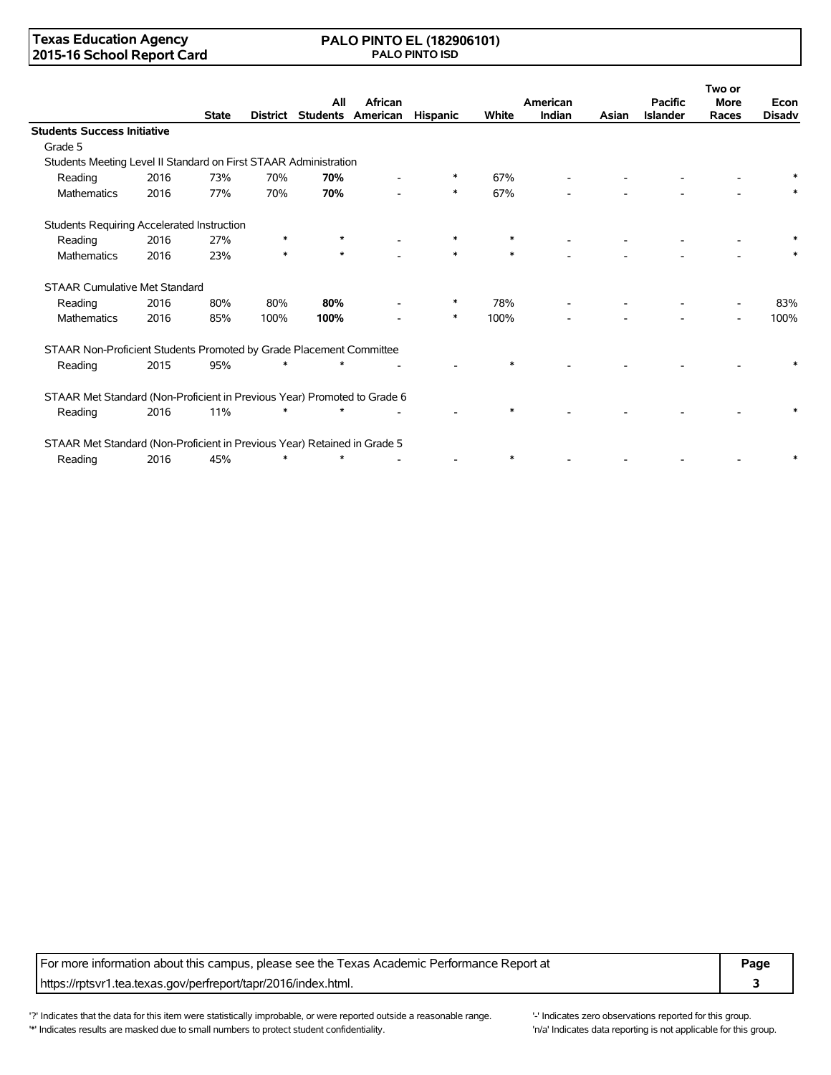### **Texas Education Agency 2015-16 School Report Card**

#### **PALO PINTO EL (182906101) PALO PINTO ISD**

|                                                                          |      |              |        | All     | African                    |          |        | American |       | <b>Pacific</b>  | Two or<br><b>More</b> | Econ          |
|--------------------------------------------------------------------------|------|--------------|--------|---------|----------------------------|----------|--------|----------|-------|-----------------|-----------------------|---------------|
|                                                                          |      | <b>State</b> |        |         | District Students American | Hispanic | White  | Indian   | Asian | <b>Islander</b> | Races                 | <b>Disadv</b> |
| <b>Students Success Initiative</b>                                       |      |              |        |         |                            |          |        |          |       |                 |                       |               |
| Grade 5                                                                  |      |              |        |         |                            |          |        |          |       |                 |                       |               |
| Students Meeting Level II Standard on First STAAR Administration         |      |              |        |         |                            |          |        |          |       |                 |                       |               |
| Reading                                                                  | 2016 | 73%          | 70%    | 70%     |                            | $\ast$   | 67%    |          |       |                 |                       |               |
| <b>Mathematics</b>                                                       | 2016 | 77%          | 70%    | 70%     |                            | $\ast$   | 67%    |          |       |                 |                       |               |
| Students Requiring Accelerated Instruction                               |      |              |        |         |                            |          |        |          |       |                 |                       |               |
| Reading                                                                  | 2016 | 27%          | *      | $\ast$  |                            | *        | ∗      |          |       |                 |                       |               |
| Mathematics                                                              | 2016 | 23%          | $\ast$ | $\star$ |                            | $\ast$   | $\ast$ |          |       |                 |                       |               |
| <b>STAAR Cumulative Met Standard</b>                                     |      |              |        |         |                            |          |        |          |       |                 |                       |               |
| Reading                                                                  | 2016 | 80%          | 80%    | 80%     |                            | $\ast$   | 78%    |          |       |                 |                       | 83%           |
| <b>Mathematics</b>                                                       | 2016 | 85%          | 100%   | 100%    |                            | $\ast$   | 100%   |          |       |                 |                       | 100%          |
| STAAR Non-Proficient Students Promoted by Grade Placement Committee      |      |              |        |         |                            |          |        |          |       |                 |                       |               |
| Reading                                                                  | 2015 | 95%          | $\ast$ | $\star$ |                            |          | $\ast$ |          |       |                 |                       |               |
| STAAR Met Standard (Non-Proficient in Previous Year) Promoted to Grade 6 |      |              |        |         |                            |          |        |          |       |                 |                       |               |
| Reading                                                                  | 2016 | 11%          |        |         |                            |          |        |          |       |                 |                       |               |
| STAAR Met Standard (Non-Proficient in Previous Year) Retained in Grade 5 |      |              |        |         |                            |          |        |          |       |                 |                       |               |
| Reading                                                                  | 2016 | 45%          | $\ast$ | $\star$ |                            |          | ∗      |          |       |                 |                       |               |

For more information about this campus, please see the Texas Academic Performance Report at **Page** https://rptsvr1.tea.texas.gov/perfreport/tapr/2016/index.html. **3**

'?' Indicates that the data for this item were statistically improbable, or were reported outside a reasonable range. '-' Indicates zero observations reported for this group. '\*' Indicates results are masked due to small numbers to protect student confidentiality. Moreover the student confidentiality is not applicable for this group.